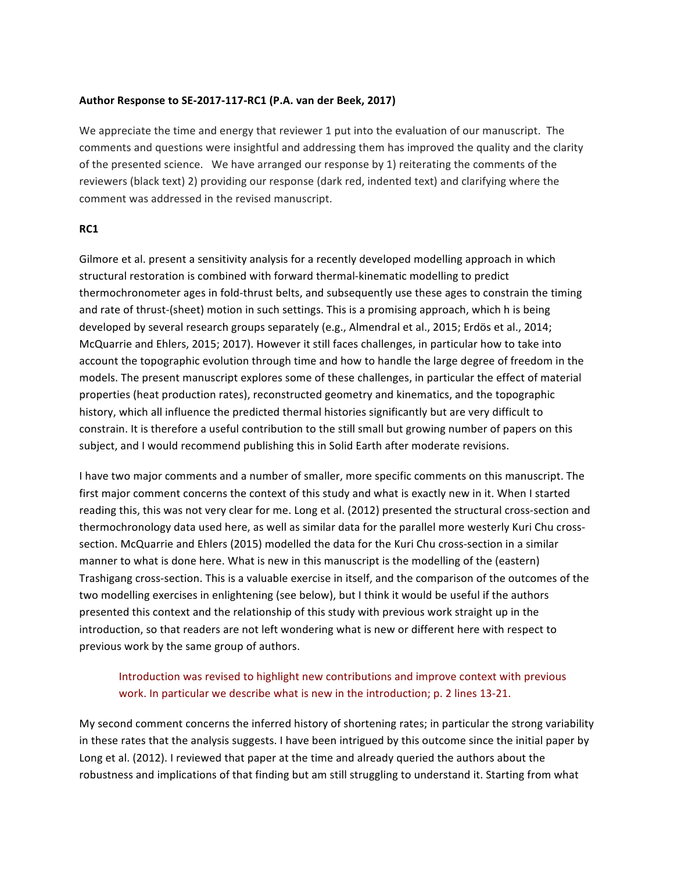## Author Response to SE-2017-117-RC1 (P.A. van der Beek, 2017)

We appreciate the time and energy that reviewer 1 put into the evaluation of our manuscript. The comments and questions were insightful and addressing them has improved the quality and the clarity of the presented science. We have arranged our response by 1) reiterating the comments of the reviewers (black text) 2) providing our response (dark red, indented text) and clarifying where the comment was addressed in the revised manuscript.

## **RC1**

Gilmore et al. present a sensitivity analysis for a recently developed modelling approach in which structural restoration is combined with forward thermal-kinematic modelling to predict thermochronometer ages in fold-thrust belts, and subsequently use these ages to constrain the timing and rate of thrust-(sheet) motion in such settings. This is a promising approach, which h is being developed by several research groups separately (e.g., Almendral et al., 2015; Erdös et al., 2014; McQuarrie and Ehlers, 2015; 2017). However it still faces challenges, in particular how to take into account the topographic evolution through time and how to handle the large degree of freedom in the models. The present manuscript explores some of these challenges, in particular the effect of material properties (heat production rates), reconstructed geometry and kinematics, and the topographic history, which all influence the predicted thermal histories significantly but are very difficult to constrain. It is therefore a useful contribution to the still small but growing number of papers on this subject, and I would recommend publishing this in Solid Earth after moderate revisions.

I have two major comments and a number of smaller, more specific comments on this manuscript. The first major comment concerns the context of this study and what is exactly new in it. When I started reading this, this was not very clear for me. Long et al. (2012) presented the structural cross-section and thermochronology data used here, as well as similar data for the parallel more westerly Kuri Chu crosssection. McQuarrie and Ehlers (2015) modelled the data for the Kuri Chu cross-section in a similar manner to what is done here. What is new in this manuscript is the modelling of the (eastern) Trashigang cross-section. This is a valuable exercise in itself, and the comparison of the outcomes of the two modelling exercises in enlightening (see below), but I think it would be useful if the authors presented this context and the relationship of this study with previous work straight up in the introduction, so that readers are not left wondering what is new or different here with respect to previous work by the same group of authors.

# Introduction was revised to highlight new contributions and improve context with previous work. In particular we describe what is new in the introduction; p. 2 lines 13-21.

My second comment concerns the inferred history of shortening rates; in particular the strong variability in these rates that the analysis suggests. I have been intrigued by this outcome since the initial paper by Long et al. (2012). I reviewed that paper at the time and already queried the authors about the robustness and implications of that finding but am still struggling to understand it. Starting from what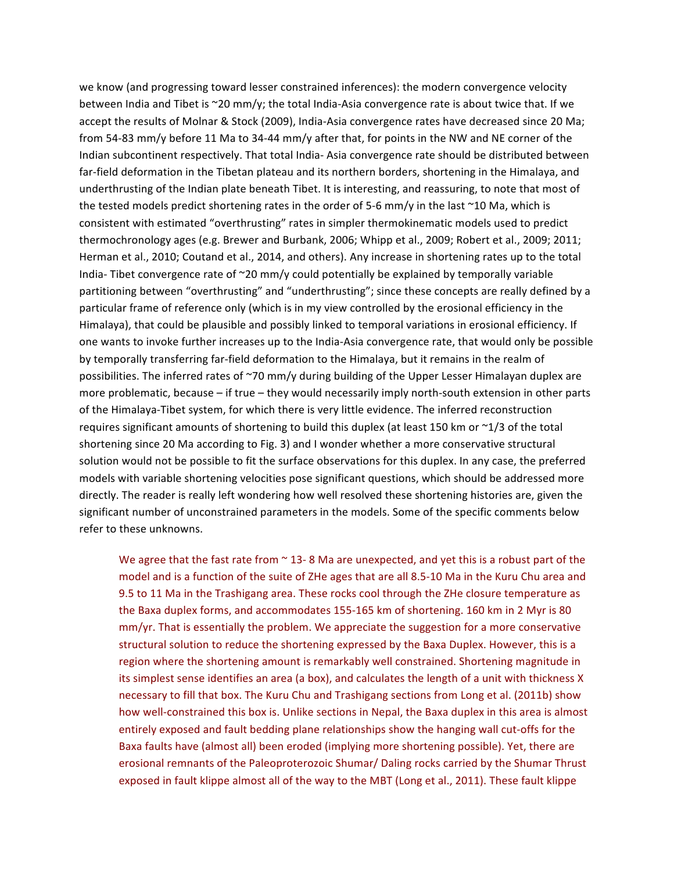we know (and progressing toward lesser constrained inferences): the modern convergence velocity between India and Tibet is  $\sim$ 20 mm/y; the total India-Asia convergence rate is about twice that. If we accept the results of Molnar & Stock (2009), India-Asia convergence rates have decreased since 20 Ma; from 54-83 mm/y before 11 Ma to 34-44 mm/y after that, for points in the NW and NE corner of the Indian subcontinent respectively. That total India- Asia convergence rate should be distributed between far-field deformation in the Tibetan plateau and its northern borders, shortening in the Himalaya, and underthrusting of the Indian plate beneath Tibet. It is interesting, and reassuring, to note that most of the tested models predict shortening rates in the order of 5-6 mm/y in the last  $\sim$ 10 Ma, which is consistent with estimated "overthrusting" rates in simpler thermokinematic models used to predict thermochronology ages (e.g. Brewer and Burbank, 2006; Whipp et al., 2009; Robert et al., 2009; 2011; Herman et al., 2010; Coutand et al., 2014, and others). Any increase in shortening rates up to the total India- Tibet convergence rate of  $\sim$ 20 mm/y could potentially be explained by temporally variable partitioning between "overthrusting" and "underthrusting"; since these concepts are really defined by a particular frame of reference only (which is in my view controlled by the erosional efficiency in the Himalaya), that could be plausible and possibly linked to temporal variations in erosional efficiency. If one wants to invoke further increases up to the India-Asia convergence rate, that would only be possible by temporally transferring far-field deformation to the Himalaya, but it remains in the realm of possibilities. The inferred rates of ~70 mm/y during building of the Upper Lesser Himalayan duplex are more problematic, because  $-$  if true  $-$  they would necessarily imply north-south extension in other parts of the Himalaya-Tibet system, for which there is very little evidence. The inferred reconstruction requires significant amounts of shortening to build this duplex (at least 150 km or  $\sim$ 1/3 of the total shortening since 20 Ma according to Fig. 3) and I wonder whether a more conservative structural solution would not be possible to fit the surface observations for this duplex. In any case, the preferred models with variable shortening velocities pose significant questions, which should be addressed more directly. The reader is really left wondering how well resolved these shortening histories are, given the significant number of unconstrained parameters in the models. Some of the specific comments below refer to these unknowns.

We agree that the fast rate from  $\sim$  13-8 Ma are unexpected, and yet this is a robust part of the model and is a function of the suite of ZHe ages that are all 8.5-10 Ma in the Kuru Chu area and 9.5 to 11 Ma in the Trashigang area. These rocks cool through the ZHe closure temperature as the Baxa duplex forms, and accommodates 155-165 km of shortening. 160 km in 2 Myr is 80  $mm/yr$ . That is essentially the problem. We appreciate the suggestion for a more conservative structural solution to reduce the shortening expressed by the Baxa Duplex. However, this is a region where the shortening amount is remarkably well constrained. Shortening magnitude in its simplest sense identifies an area (a box), and calculates the length of a unit with thickness X necessary to fill that box. The Kuru Chu and Trashigang sections from Long et al. (2011b) show how well-constrained this box is. Unlike sections in Nepal, the Baxa duplex in this area is almost entirely exposed and fault bedding plane relationships show the hanging wall cut-offs for the Baxa faults have (almost all) been eroded (implying more shortening possible). Yet, there are erosional remnants of the Paleoproterozoic Shumar/ Daling rocks carried by the Shumar Thrust exposed in fault klippe almost all of the way to the MBT (Long et al., 2011). These fault klippe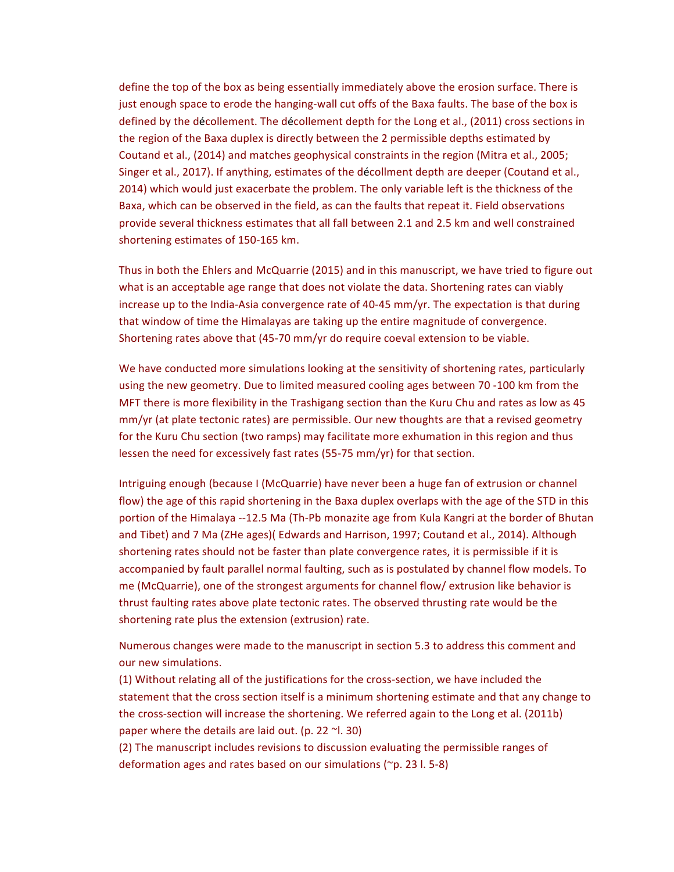define the top of the box as being essentially immediately above the erosion surface. There is just enough space to erode the hanging-wall cut offs of the Baxa faults. The base of the box is defined by the décollement. The décollement depth for the Long et al., (2011) cross sections in the region of the Baxa duplex is directly between the 2 permissible depths estimated by Coutand et al., (2014) and matches geophysical constraints in the region (Mitra et al., 2005; Singer et al., 2017). If anything, estimates of the décollment depth are deeper (Coutand et al., 2014) which would just exacerbate the problem. The only variable left is the thickness of the Baxa, which can be observed in the field, as can the faults that repeat it. Field observations provide several thickness estimates that all fall between 2.1 and 2.5 km and well constrained shortening estimates of 150-165 km.

Thus in both the Ehlers and McQuarrie (2015) and in this manuscript, we have tried to figure out what is an acceptable age range that does not violate the data. Shortening rates can viably increase up to the India-Asia convergence rate of 40-45  $mm/yr$ . The expectation is that during that window of time the Himalayas are taking up the entire magnitude of convergence. Shortening rates above that  $(45-70 \text{ mm/yr})$  do require coeval extension to be viable.

We have conducted more simulations looking at the sensitivity of shortening rates, particularly using the new geometry. Due to limited measured cooling ages between 70 -100 km from the MFT there is more flexibility in the Trashigang section than the Kuru Chu and rates as low as 45 mm/yr (at plate tectonic rates) are permissible. Our new thoughts are that a revised geometry for the Kuru Chu section (two ramps) may facilitate more exhumation in this region and thus lessen the need for excessively fast rates (55-75 mm/yr) for that section.

Intriguing enough (because I (McQuarrie) have never been a huge fan of extrusion or channel flow) the age of this rapid shortening in the Baxa duplex overlaps with the age of the STD in this portion of the Himalaya --12.5 Ma (Th-Pb monazite age from Kula Kangri at the border of Bhutan and Tibet) and 7 Ma (ZHe ages)( Edwards and Harrison, 1997; Coutand et al., 2014). Although shortening rates should not be faster than plate convergence rates, it is permissible if it is accompanied by fault parallel normal faulting, such as is postulated by channel flow models. To me (McQuarrie), one of the strongest arguments for channel flow/ extrusion like behavior is thrust faulting rates above plate tectonic rates. The observed thrusting rate would be the shortening rate plus the extension (extrusion) rate.

Numerous changes were made to the manuscript in section 5.3 to address this comment and our new simulations.

(1) Without relating all of the justifications for the cross-section, we have included the statement that the cross section itself is a minimum shortening estimate and that any change to the cross-section will increase the shortening. We referred again to the Long et al. (2011b) paper where the details are laid out. (p. 22  $\sim$ l. 30)

(2) The manuscript includes revisions to discussion evaluating the permissible ranges of deformation ages and rates based on our simulations  $(\gamma p. 23 \text{ l. } 5\text{-}8)$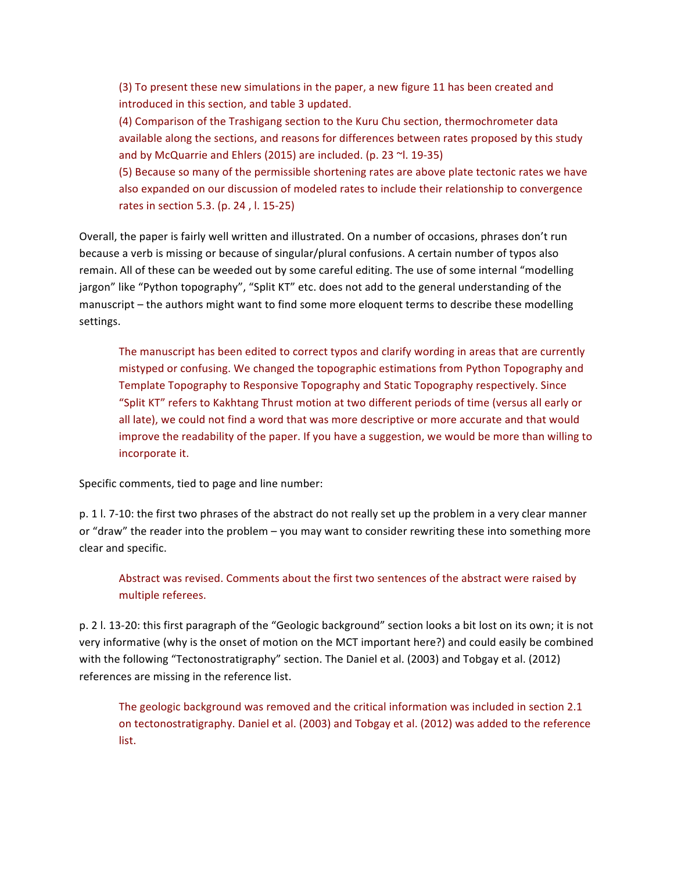(3) To present these new simulations in the paper, a new figure 11 has been created and introduced in this section, and table 3 updated.

(4) Comparison of the Trashigang section to the Kuru Chu section, thermochrometer data available along the sections, and reasons for differences between rates proposed by this study and by McQuarrie and Ehlers (2015) are included. (p. 23  $\sim$ l. 19-35)

(5) Because so many of the permissible shortening rates are above plate tectonic rates we have also expanded on our discussion of modeled rates to include their relationship to convergence rates in section 5.3. (p. 24,  $l. 15-25$ )

Overall, the paper is fairly well written and illustrated. On a number of occasions, phrases don't run because a verb is missing or because of singular/plural confusions. A certain number of typos also remain. All of these can be weeded out by some careful editing. The use of some internal "modelling jargon" like "Python topography", "Split KT" etc. does not add to the general understanding of the manuscript – the authors might want to find some more eloquent terms to describe these modelling settings.

The manuscript has been edited to correct typos and clarify wording in areas that are currently mistyped or confusing. We changed the topographic estimations from Python Topography and Template Topography to Responsive Topography and Static Topography respectively. Since "Split KT" refers to Kakhtang Thrust motion at two different periods of time (versus all early or all late), we could not find a word that was more descriptive or more accurate and that would improve the readability of the paper. If you have a suggestion, we would be more than willing to incorporate it.

Specific comments, tied to page and line number:

p. 1 l. 7-10: the first two phrases of the abstract do not really set up the problem in a very clear manner or "draw" the reader into the problem – you may want to consider rewriting these into something more clear and specific.

Abstract was revised. Comments about the first two sentences of the abstract were raised by multiple referees.

p. 2 l. 13-20: this first paragraph of the "Geologic background" section looks a bit lost on its own; it is not very informative (why is the onset of motion on the MCT important here?) and could easily be combined with the following "Tectonostratigraphy" section. The Daniel et al. (2003) and Tobgay et al. (2012) references are missing in the reference list.

The geologic background was removed and the critical information was included in section 2.1 on tectonostratigraphy. Daniel et al. (2003) and Tobgay et al. (2012) was added to the reference list.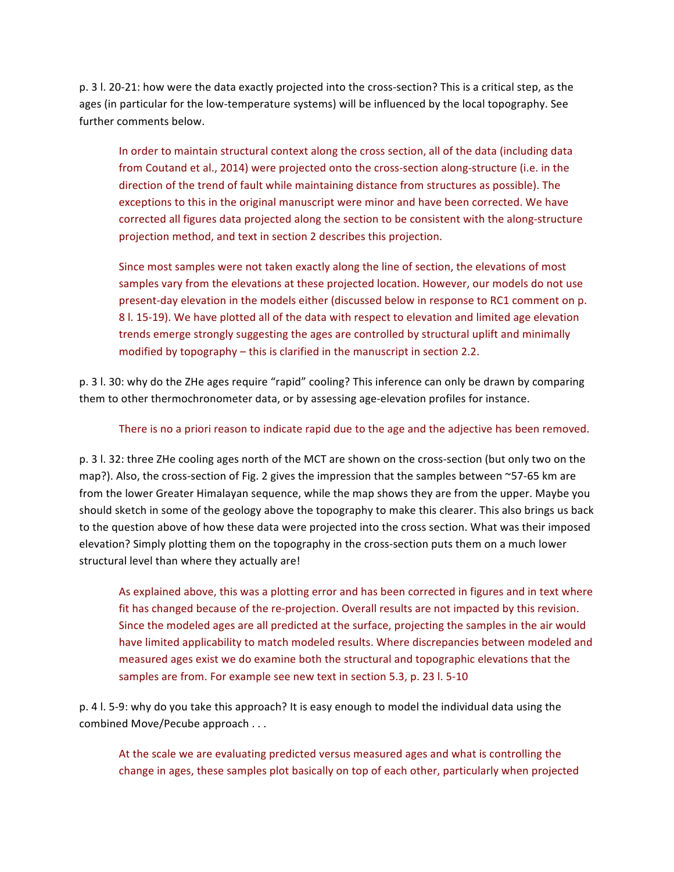p. 3 l. 20-21: how were the data exactly projected into the cross-section? This is a critical step, as the ages (in particular for the low-temperature systems) will be influenced by the local topography. See further comments below.

In order to maintain structural context along the cross section, all of the data (including data from Coutand et al., 2014) were projected onto the cross-section along-structure (i.e. in the direction of the trend of fault while maintaining distance from structures as possible). The exceptions to this in the original manuscript were minor and have been corrected. We have corrected all figures data projected along the section to be consistent with the along-structure projection method, and text in section 2 describes this projection.

Since most samples were not taken exactly along the line of section, the elevations of most samples vary from the elevations at these projected location. However, our models do not use present-day elevation in the models either (discussed below in response to RC1 comment on p. 8 l. 15-19). We have plotted all of the data with respect to elevation and limited age elevation trends emerge strongly suggesting the ages are controlled by structural uplift and minimally modified by topography  $-$  this is clarified in the manuscript in section 2.2.

p. 3 l. 30: why do the ZHe ages require "rapid" cooling? This inference can only be drawn by comparing them to other thermochronometer data, or by assessing age-elevation profiles for instance.

There is no a priori reason to indicate rapid due to the age and the adjective has been removed.

p. 3 l. 32: three ZHe cooling ages north of the MCT are shown on the cross-section (but only two on the map?). Also, the cross-section of Fig. 2 gives the impression that the samples between  $\sim$ 57-65 km are from the lower Greater Himalayan sequence, while the map shows they are from the upper. Maybe you should sketch in some of the geology above the topography to make this clearer. This also brings us back to the question above of how these data were projected into the cross section. What was their imposed elevation? Simply plotting them on the topography in the cross-section puts them on a much lower structural level than where they actually are!

As explained above, this was a plotting error and has been corrected in figures and in text where fit has changed because of the re-projection. Overall results are not impacted by this revision. Since the modeled ages are all predicted at the surface, projecting the samples in the air would have limited applicability to match modeled results. Where discrepancies between modeled and measured ages exist we do examine both the structural and topographic elevations that the samples are from. For example see new text in section 5.3, p. 23 l. 5-10

p. 4 l. 5-9: why do you take this approach? It is easy enough to model the individual data using the combined Move/Pecube approach . . .

At the scale we are evaluating predicted versus measured ages and what is controlling the change in ages, these samples plot basically on top of each other, particularly when projected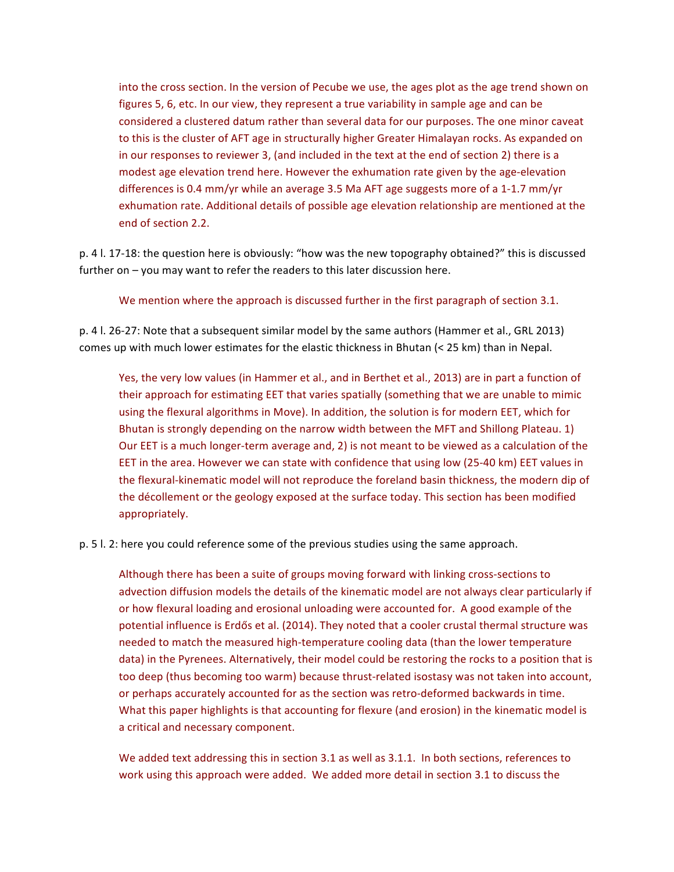into the cross section. In the version of Pecube we use, the ages plot as the age trend shown on figures 5, 6, etc. In our view, they represent a true variability in sample age and can be considered a clustered datum rather than several data for our purposes. The one minor caveat to this is the cluster of AFT age in structurally higher Greater Himalayan rocks. As expanded on in our responses to reviewer 3, (and included in the text at the end of section 2) there is a modest age elevation trend here. However the exhumation rate given by the age-elevation differences is 0.4  $mm/yr$  while an average 3.5 Ma AFT age suggests more of a 1-1.7  $mm/yr$ exhumation rate. Additional details of possible age elevation relationship are mentioned at the end of section 2.2.

p. 4 l. 17-18: the question here is obviously: "how was the new topography obtained?" this is discussed further on  $-$  you may want to refer the readers to this later discussion here.

We mention where the approach is discussed further in the first paragraph of section 3.1.

p. 4 l. 26-27: Note that a subsequent similar model by the same authors (Hammer et al., GRL 2013) comes up with much lower estimates for the elastic thickness in Bhutan  $\leq 25$  km) than in Nepal.

Yes, the very low values (in Hammer et al., and in Berthet et al., 2013) are in part a function of their approach for estimating EET that varies spatially (something that we are unable to mimic using the flexural algorithms in Move). In addition, the solution is for modern EET, which for Bhutan is strongly depending on the narrow width between the MFT and Shillong Plateau. 1) Our EET is a much longer-term average and, 2) is not meant to be viewed as a calculation of the EET in the area. However we can state with confidence that using low (25-40 km) EET values in the flexural-kinematic model will not reproduce the foreland basin thickness, the modern dip of the décollement or the geology exposed at the surface today. This section has been modified appropriately.

p. 5 l. 2: here you could reference some of the previous studies using the same approach.

Although there has been a suite of groups moving forward with linking cross-sections to advection diffusion models the details of the kinematic model are not always clear particularly if or how flexural loading and erosional unloading were accounted for. A good example of the potential influence is Erdős et al. (2014). They noted that a cooler crustal thermal structure was needed to match the measured high-temperature cooling data (than the lower temperature data) in the Pyrenees. Alternatively, their model could be restoring the rocks to a position that is too deep (thus becoming too warm) because thrust-related isostasy was not taken into account, or perhaps accurately accounted for as the section was retro-deformed backwards in time. What this paper highlights is that accounting for flexure (and erosion) in the kinematic model is a critical and necessary component.

We added text addressing this in section 3.1 as well as 3.1.1. In both sections, references to work using this approach were added. We added more detail in section 3.1 to discuss the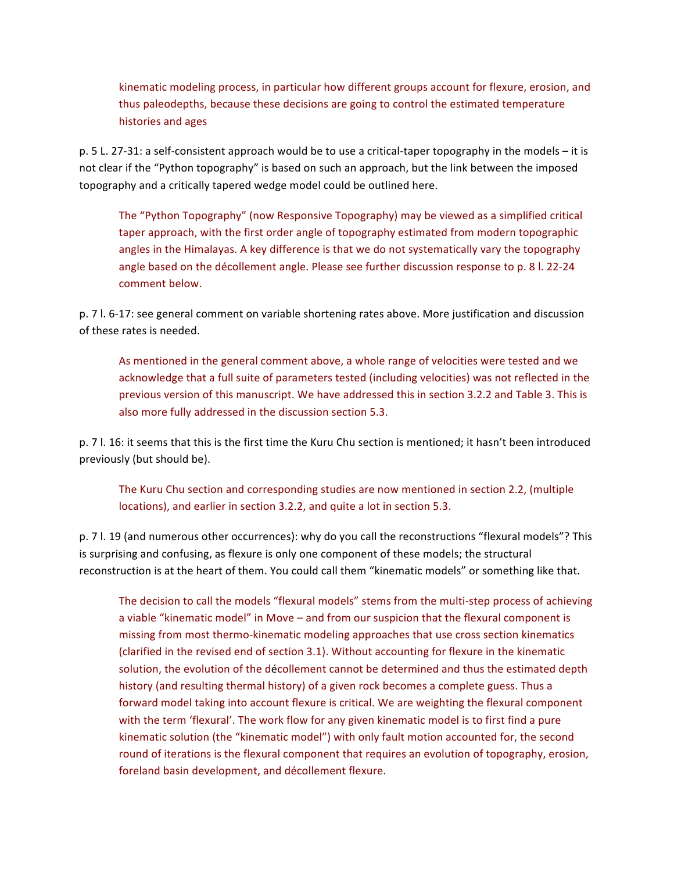kinematic modeling process, in particular how different groups account for flexure, erosion, and thus paleodepths, because these decisions are going to control the estimated temperature histories and ages

p. 5 L. 27-31: a self-consistent approach would be to use a critical-taper topography in the models – it is not clear if the "Python topography" is based on such an approach, but the link between the imposed topography and a critically tapered wedge model could be outlined here.

The "Python Topography" (now Responsive Topography) may be viewed as a simplified critical taper approach, with the first order angle of topography estimated from modern topographic angles in the Himalayas. A key difference is that we do not systematically vary the topography angle based on the décollement angle. Please see further discussion response to p. 8 l. 22-24 comment below.

p. 7 I. 6-17: see general comment on variable shortening rates above. More justification and discussion of these rates is needed.

As mentioned in the general comment above, a whole range of velocities were tested and we acknowledge that a full suite of parameters tested (including velocities) was not reflected in the previous version of this manuscript. We have addressed this in section 3.2.2 and Table 3. This is also more fully addressed in the discussion section 5.3.

p. 7 l. 16: it seems that this is the first time the Kuru Chu section is mentioned; it hasn't been introduced previously (but should be).

The Kuru Chu section and corresponding studies are now mentioned in section 2.2, (multiple locations), and earlier in section 3.2.2, and quite a lot in section 5.3.

p. 7 l. 19 (and numerous other occurrences): why do you call the reconstructions "flexural models"? This is surprising and confusing, as flexure is only one component of these models; the structural reconstruction is at the heart of them. You could call them "kinematic models" or something like that.

The decision to call the models "flexural models" stems from the multi-step process of achieving a viable "kinematic model" in Move – and from our suspicion that the flexural component is missing from most thermo-kinematic modeling approaches that use cross section kinematics (clarified in the revised end of section 3.1). Without accounting for flexure in the kinematic solution, the evolution of the décollement cannot be determined and thus the estimated depth history (and resulting thermal history) of a given rock becomes a complete guess. Thus a forward model taking into account flexure is critical. We are weighting the flexural component with the term 'flexural'. The work flow for any given kinematic model is to first find a pure kinematic solution (the "kinematic model") with only fault motion accounted for, the second round of iterations is the flexural component that requires an evolution of topography, erosion, foreland basin development, and décollement flexure.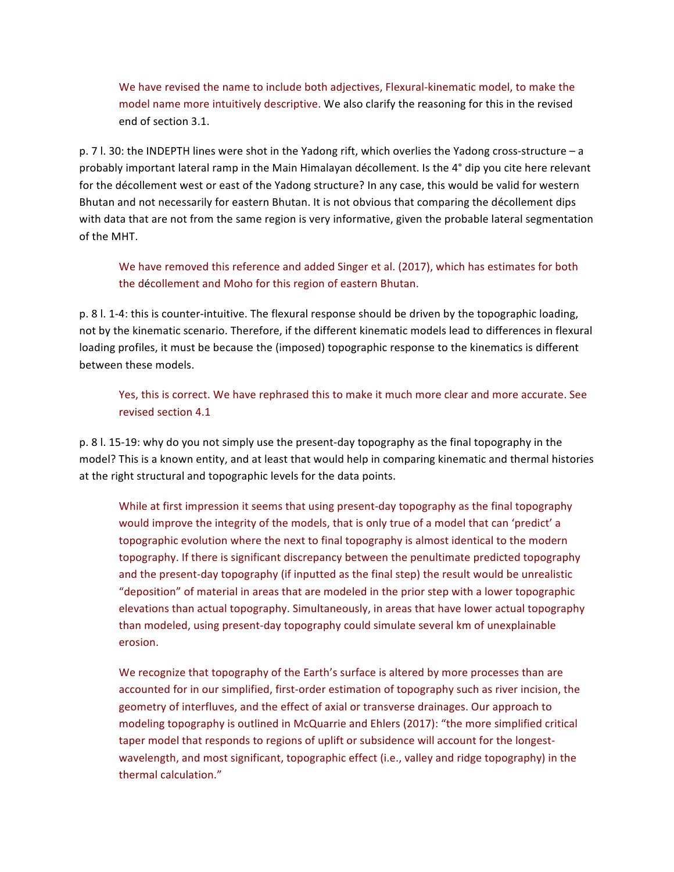We have revised the name to include both adjectives, Flexural-kinematic model, to make the model name more intuitively descriptive. We also clarify the reasoning for this in the revised end of section 3.1.

p. 7 l. 30: the INDEPTH lines were shot in the Yadong rift, which overlies the Yadong cross-structure - a probably important lateral ramp in the Main Himalayan décollement. Is the 4° dip you cite here relevant for the décollement west or east of the Yadong structure? In any case, this would be valid for western Bhutan and not necessarily for eastern Bhutan. It is not obvious that comparing the décollement dips with data that are not from the same region is very informative, given the probable lateral segmentation of the MHT.

We have removed this reference and added Singer et al. (2017), which has estimates for both the décollement and Moho for this region of eastern Bhutan.

p. 8 l. 1-4: this is counter-intuitive. The flexural response should be driven by the topographic loading, not by the kinematic scenario. Therefore, if the different kinematic models lead to differences in flexural loading profiles, it must be because the (imposed) topographic response to the kinematics is different between these models.

Yes, this is correct. We have rephrased this to make it much more clear and more accurate. See revised section 4.1

p. 8 l. 15-19: why do you not simply use the present-day topography as the final topography in the model? This is a known entity, and at least that would help in comparing kinematic and thermal histories at the right structural and topographic levels for the data points.

While at first impression it seems that using present-day topography as the final topography would improve the integrity of the models, that is only true of a model that can 'predict' a topographic evolution where the next to final topography is almost identical to the modern topography. If there is significant discrepancy between the penultimate predicted topography and the present-day topography (if inputted as the final step) the result would be unrealistic "deposition" of material in areas that are modeled in the prior step with a lower topographic elevations than actual topography. Simultaneously, in areas that have lower actual topography than modeled, using present-day topography could simulate several km of unexplainable erosion.

We recognize that topography of the Earth's surface is altered by more processes than are accounted for in our simplified, first-order estimation of topography such as river incision, the geometry of interfluves, and the effect of axial or transverse drainages. Our approach to modeling topography is outlined in McQuarrie and Ehlers (2017): "the more simplified critical taper model that responds to regions of uplift or subsidence will account for the longestwavelength, and most significant, topographic effect (i.e., valley and ridge topography) in the thermal calculation."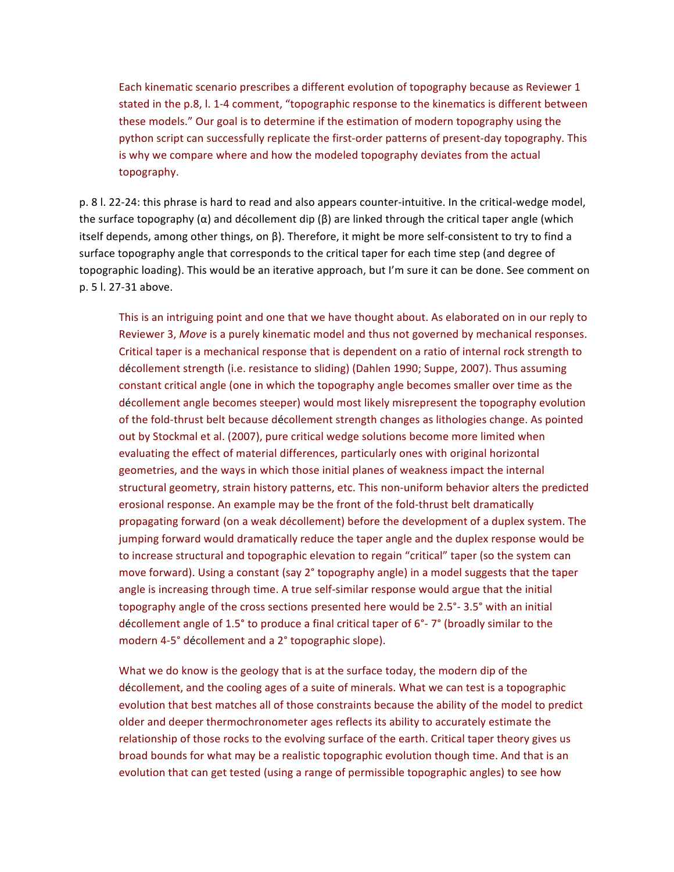Each kinematic scenario prescribes a different evolution of topography because as Reviewer 1 stated in the p.8, l. 1-4 comment, "topographic response to the kinematics is different between these models." Our goal is to determine if the estimation of modern topography using the python script can successfully replicate the first-order patterns of present-day topography. This is why we compare where and how the modeled topography deviates from the actual topography.

p. 8 l. 22-24: this phrase is hard to read and also appears counter-intuitive. In the critical-wedge model, the surface topography  $(\alpha)$  and décollement dip  $(\beta)$  are linked through the critical taper angle (which itself depends, among other things, on  $\beta$ ). Therefore, it might be more self-consistent to try to find a surface topography angle that corresponds to the critical taper for each time step (and degree of topographic loading). This would be an iterative approach, but I'm sure it can be done. See comment on p. 5 l. 27-31 above.

This is an intriguing point and one that we have thought about. As elaborated on in our reply to Reviewer 3, Move is a purely kinematic model and thus not governed by mechanical responses. Critical taper is a mechanical response that is dependent on a ratio of internal rock strength to décollement strength (i.e. resistance to sliding) (Dahlen 1990; Suppe, 2007). Thus assuming constant critical angle (one in which the topography angle becomes smaller over time as the décollement angle becomes steeper) would most likely misrepresent the topography evolution of the fold-thrust belt because décollement strength changes as lithologies change. As pointed out by Stockmal et al. (2007), pure critical wedge solutions become more limited when evaluating the effect of material differences, particularly ones with original horizontal geometries, and the ways in which those initial planes of weakness impact the internal structural geometry, strain history patterns, etc. This non-uniform behavior alters the predicted erosional response. An example may be the front of the fold-thrust belt dramatically propagating forward (on a weak décollement) before the development of a duplex system. The jumping forward would dramatically reduce the taper angle and the duplex response would be to increase structural and topographic elevation to regain "critical" taper (so the system can move forward). Using a constant  $\frac{\sqrt{2}}{2}$  topography angle) in a model suggests that the taper angle is increasing through time. A true self-similar response would argue that the initial topography angle of the cross sections presented here would be  $2.5^\circ$ - 3.5° with an initial décollement angle of 1.5° to produce a final critical taper of  $6^{\circ}$ - 7° (broadly similar to the modern 4-5° décollement and a 2° topographic slope).

What we do know is the geology that is at the surface today, the modern dip of the décollement, and the cooling ages of a suite of minerals. What we can test is a topographic evolution that best matches all of those constraints because the ability of the model to predict older and deeper thermochronometer ages reflects its ability to accurately estimate the relationship of those rocks to the evolving surface of the earth. Critical taper theory gives us broad bounds for what may be a realistic topographic evolution though time. And that is an evolution that can get tested (using a range of permissible topographic angles) to see how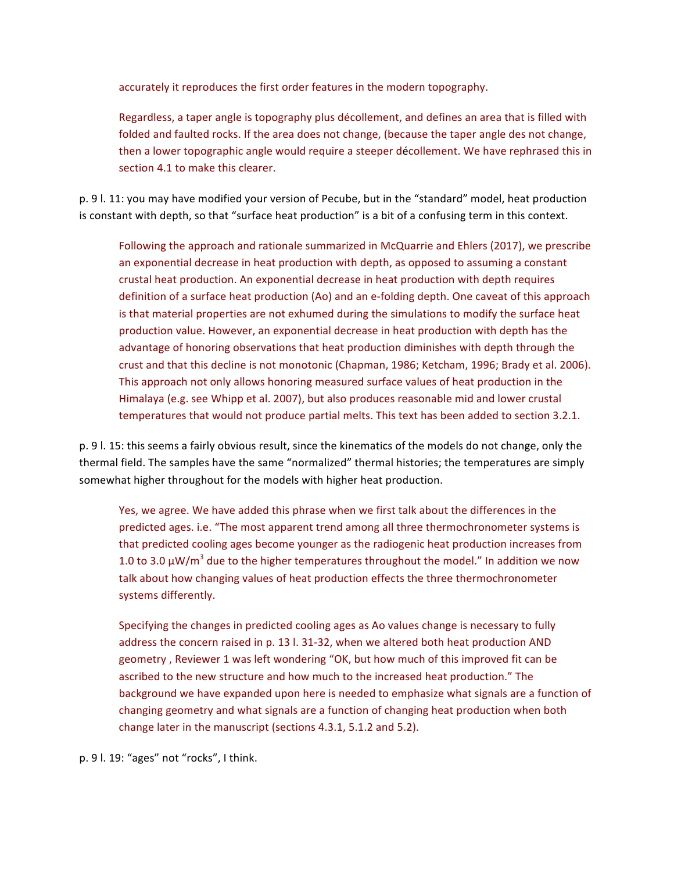accurately it reproduces the first order features in the modern topography.

Regardless, a taper angle is topography plus décollement, and defines an area that is filled with folded and faulted rocks. If the area does not change, (because the taper angle des not change, then a lower topographic angle would require a steeper décollement. We have rephrased this in section 4.1 to make this clearer.

p. 9 l. 11: you may have modified your version of Pecube, but in the "standard" model, heat production is constant with depth, so that "surface heat production" is a bit of a confusing term in this context.

Following the approach and rationale summarized in McQuarrie and Ehlers (2017), we prescribe an exponential decrease in heat production with depth, as opposed to assuming a constant crustal heat production. An exponential decrease in heat production with depth requires definition of a surface heat production (Ao) and an e-folding depth. One caveat of this approach is that material properties are not exhumed during the simulations to modify the surface heat production value. However, an exponential decrease in heat production with depth has the advantage of honoring observations that heat production diminishes with depth through the crust and that this decline is not monotonic (Chapman, 1986; Ketcham, 1996; Brady et al. 2006). This approach not only allows honoring measured surface values of heat production in the Himalaya (e.g. see Whipp et al. 2007), but also produces reasonable mid and lower crustal temperatures that would not produce partial melts. This text has been added to section 3.2.1.

p. 9 I. 15: this seems a fairly obvious result, since the kinematics of the models do not change, only the thermal field. The samples have the same "normalized" thermal histories; the temperatures are simply somewhat higher throughout for the models with higher heat production.

Yes, we agree. We have added this phrase when we first talk about the differences in the predicted ages. i.e. "The most apparent trend among all three thermochronometer systems is that predicted cooling ages become younger as the radiogenic heat production increases from 1.0 to 3.0  $\mu$ W/m<sup>3</sup> due to the higher temperatures throughout the model." In addition we now talk about how changing values of heat production effects the three thermochronometer systems differently.

Specifying the changes in predicted cooling ages as Ao values change is necessary to fully address the concern raised in p. 13 l. 31-32, when we altered both heat production AND geometry, Reviewer 1 was left wondering "OK, but how much of this improved fit can be ascribed to the new structure and how much to the increased heat production." The background we have expanded upon here is needed to emphasize what signals are a function of changing geometry and what signals are a function of changing heat production when both change later in the manuscript (sections 4.3.1, 5.1.2 and 5.2).

p. 9 l. 19: "ages" not "rocks", I think.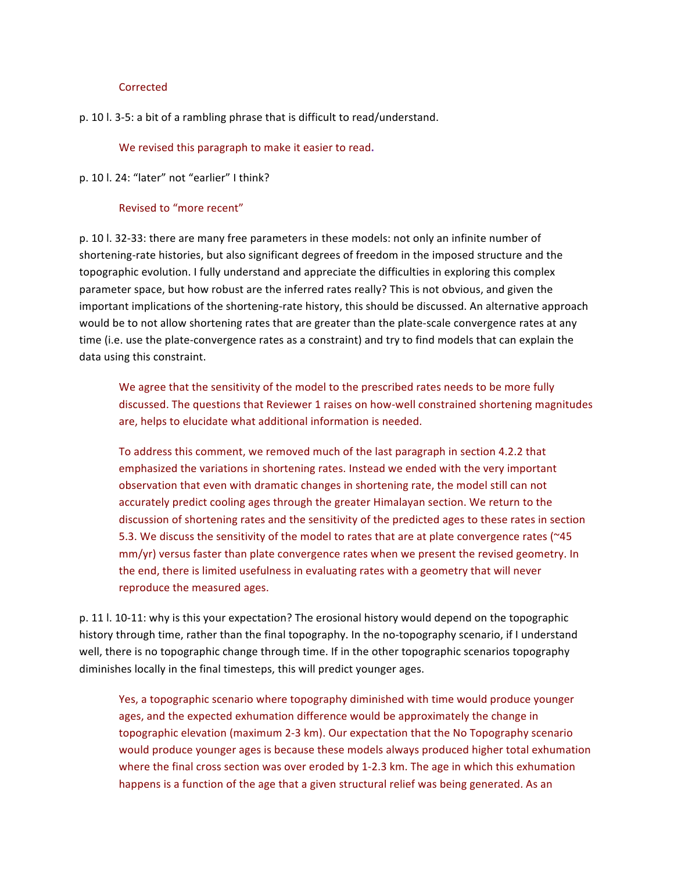## **Corrected**

p. 10 l. 3-5: a bit of a rambling phrase that is difficult to read/understand.

We revised this paragraph to make it easier to read.

### p. 10 l. 24: "later" not "earlier" I think?

## Revised to "more recent"

p. 10 l. 32-33: there are many free parameters in these models: not only an infinite number of shortening-rate histories, but also significant degrees of freedom in the imposed structure and the topographic evolution. I fully understand and appreciate the difficulties in exploring this complex parameter space, but how robust are the inferred rates really? This is not obvious, and given the important implications of the shortening-rate history, this should be discussed. An alternative approach would be to not allow shortening rates that are greater than the plate-scale convergence rates at any time (i.e. use the plate-convergence rates as a constraint) and try to find models that can explain the data using this constraint.

We agree that the sensitivity of the model to the prescribed rates needs to be more fully discussed. The questions that Reviewer 1 raises on how-well constrained shortening magnitudes are, helps to elucidate what additional information is needed.

To address this comment, we removed much of the last paragraph in section 4.2.2 that emphasized the variations in shortening rates. Instead we ended with the very important observation that even with dramatic changes in shortening rate, the model still can not accurately predict cooling ages through the greater Himalayan section. We return to the discussion of shortening rates and the sensitivity of the predicted ages to these rates in section 5.3. We discuss the sensitivity of the model to rates that are at plate convergence rates ( $\sim$ 45  $mm/yr$ ) versus faster than plate convergence rates when we present the revised geometry. In the end, there is limited usefulness in evaluating rates with a geometry that will never reproduce the measured ages.

p. 11 l. 10-11: why is this your expectation? The erosional history would depend on the topographic history through time, rather than the final topography. In the no-topography scenario, if I understand well, there is no topographic change through time. If in the other topographic scenarios topography diminishes locally in the final timesteps, this will predict younger ages.

Yes, a topographic scenario where topography diminished with time would produce younger ages, and the expected exhumation difference would be approximately the change in topographic elevation (maximum 2-3 km). Our expectation that the No Topography scenario would produce younger ages is because these models always produced higher total exhumation where the final cross section was over eroded by 1-2.3 km. The age in which this exhumation happens is a function of the age that a given structural relief was being generated. As an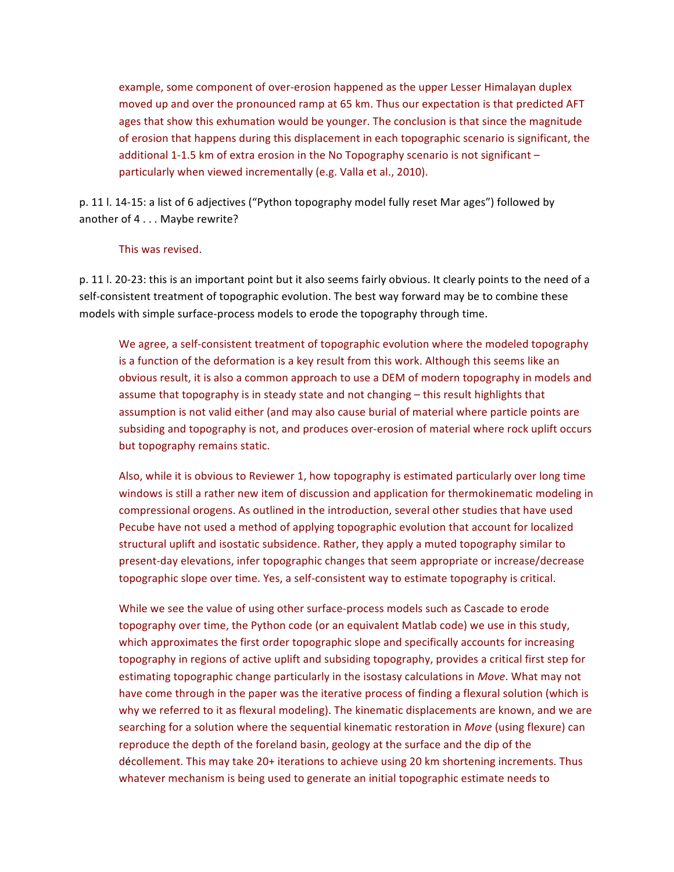example, some component of over-erosion happened as the upper Lesser Himalayan duplex moved up and over the pronounced ramp at 65 km. Thus our expectation is that predicted AFT ages that show this exhumation would be younger. The conclusion is that since the magnitude of erosion that happens during this displacement in each topographic scenario is significant, the additional 1-1.5 km of extra erosion in the No Topography scenario is not significant  $$ particularly when viewed incrementally (e.g. Valla et al., 2010).

p. 11 l. 14-15: a list of 6 adjectives ("Python topography model fully reset Mar ages") followed by another of 4 . . . Maybe rewrite?

### This was revised.

p. 11 l. 20-23: this is an important point but it also seems fairly obvious. It clearly points to the need of a self-consistent treatment of topographic evolution. The best way forward may be to combine these models with simple surface-process models to erode the topography through time.

We agree, a self-consistent treatment of topographic evolution where the modeled topography is a function of the deformation is a key result from this work. Although this seems like an obvious result, it is also a common approach to use a DEM of modern topography in models and assume that topography is in steady state and not changing – this result highlights that assumption is not valid either (and may also cause burial of material where particle points are subsiding and topography is not, and produces over-erosion of material where rock uplift occurs but topography remains static.

Also, while it is obvious to Reviewer 1, how topography is estimated particularly over long time windows is still a rather new item of discussion and application for thermokinematic modeling in compressional orogens. As outlined in the introduction, several other studies that have used Pecube have not used a method of applying topographic evolution that account for localized structural uplift and isostatic subsidence. Rather, they apply a muted topography similar to present-day elevations, infer topographic changes that seem appropriate or increase/decrease topographic slope over time. Yes, a self-consistent way to estimate topography is critical.

While we see the value of using other surface-process models such as Cascade to erode topography over time, the Python code (or an equivalent Matlab code) we use in this study, which approximates the first order topographic slope and specifically accounts for increasing topography in regions of active uplift and subsiding topography, provides a critical first step for estimating topographic change particularly in the isostasy calculations in *Move*. What may not have come through in the paper was the iterative process of finding a flexural solution (which is why we referred to it as flexural modeling). The kinematic displacements are known, and we are searching for a solution where the sequential kinematic restoration in *Move* (using flexure) can reproduce the depth of the foreland basin, geology at the surface and the dip of the décollement. This may take 20+ iterations to achieve using 20 km shortening increments. Thus whatever mechanism is being used to generate an initial topographic estimate needs to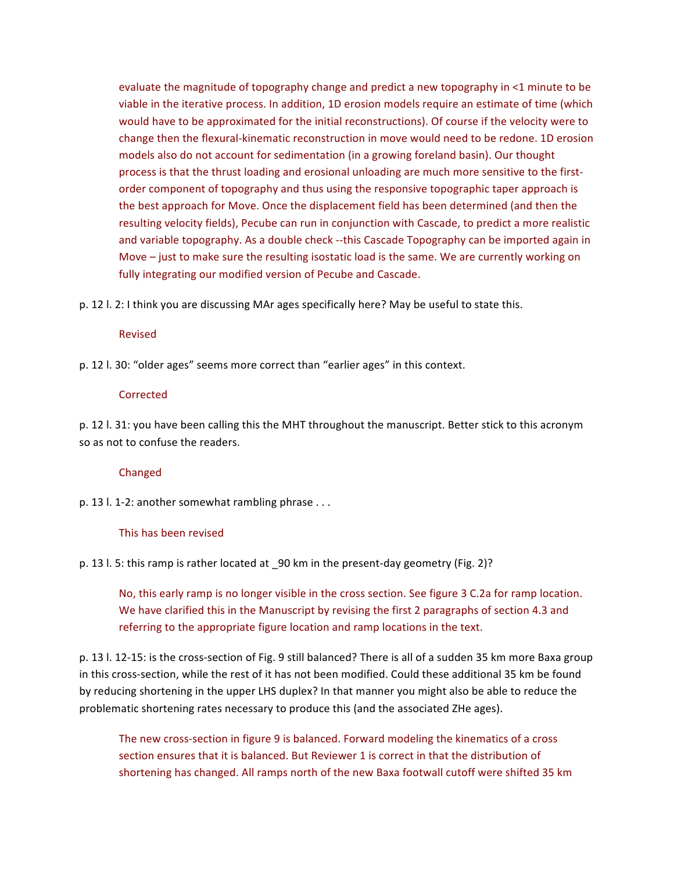evaluate the magnitude of topography change and predict a new topography in  $\leq 1$  minute to be viable in the iterative process. In addition, 1D erosion models require an estimate of time (which would have to be approximated for the initial reconstructions). Of course if the velocity were to change then the flexural-kinematic reconstruction in move would need to be redone. 1D erosion models also do not account for sedimentation (in a growing foreland basin). Our thought process is that the thrust loading and erosional unloading are much more sensitive to the firstorder component of topography and thus using the responsive topographic taper approach is the best approach for Move. Once the displacement field has been determined (and then the resulting velocity fields), Pecube can run in conjunction with Cascade, to predict a more realistic and variable topography. As a double check --this Cascade Topography can be imported again in Move  $-$  just to make sure the resulting isostatic load is the same. We are currently working on fully integrating our modified version of Pecube and Cascade.

p. 12 l. 2: I think you are discussing MAr ages specifically here? May be useful to state this.

#### Revised

p. 12 l. 30: "older ages" seems more correct than "earlier ages" in this context.

#### **Corrected**

p. 12 l. 31: you have been calling this the MHT throughout the manuscript. Better stick to this acronym so as not to confuse the readers.

#### Changed

p. 13 l. 1-2: another somewhat rambling phrase ...

#### This has been revised

p. 13 l. 5: this ramp is rather located at  $90 \text{ km}$  in the present-day geometry (Fig. 2)?

No, this early ramp is no longer visible in the cross section. See figure 3 C.2a for ramp location. We have clarified this in the Manuscript by revising the first 2 paragraphs of section 4.3 and referring to the appropriate figure location and ramp locations in the text.

p. 13 l. 12-15: is the cross-section of Fig. 9 still balanced? There is all of a sudden 35 km more Baxa group in this cross-section, while the rest of it has not been modified. Could these additional 35 km be found by reducing shortening in the upper LHS duplex? In that manner you might also be able to reduce the problematic shortening rates necessary to produce this (and the associated ZHe ages).

The new cross-section in figure 9 is balanced. Forward modeling the kinematics of a cross section ensures that it is balanced. But Reviewer 1 is correct in that the distribution of shortening has changed. All ramps north of the new Baxa footwall cutoff were shifted 35 km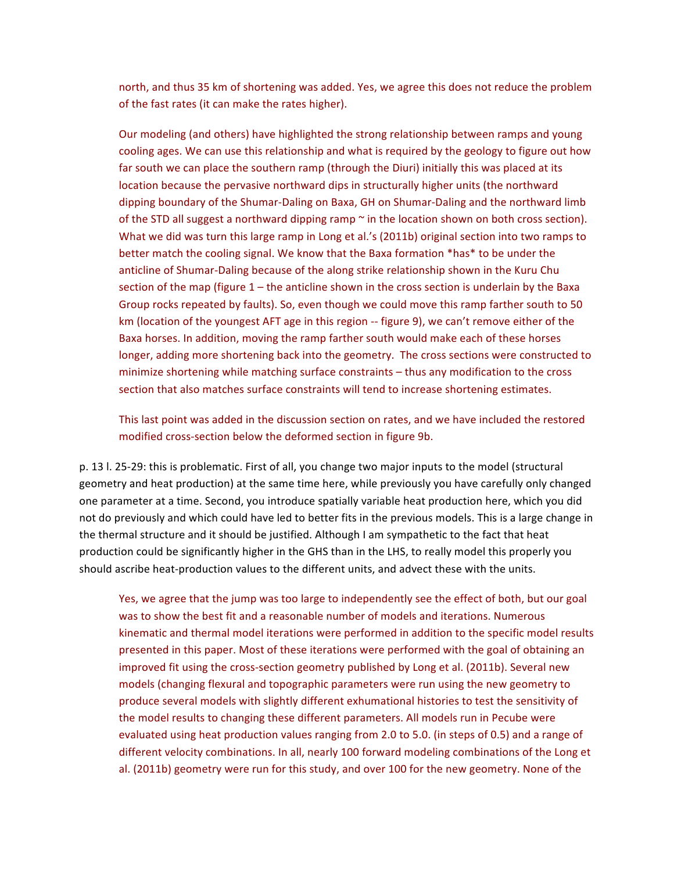north, and thus 35 km of shortening was added. Yes, we agree this does not reduce the problem of the fast rates (it can make the rates higher).

Our modeling (and others) have highlighted the strong relationship between ramps and young cooling ages. We can use this relationship and what is required by the geology to figure out how far south we can place the southern ramp (through the Diuri) initially this was placed at its location because the pervasive northward dips in structurally higher units (the northward dipping boundary of the Shumar-Daling on Baxa, GH on Shumar-Daling and the northward limb of the STD all suggest a northward dipping ramp  $\sim$  in the location shown on both cross section). What we did was turn this large ramp in Long et al.'s (2011b) original section into two ramps to better match the cooling signal. We know that the Baxa formation \*has\* to be under the anticline of Shumar-Daling because of the along strike relationship shown in the Kuru Chu section of the map (figure  $1$  – the anticline shown in the cross section is underlain by the Baxa Group rocks repeated by faults). So, even though we could move this ramp farther south to 50 km (location of the youngest AFT age in this region -- figure 9), we can't remove either of the Baxa horses. In addition, moving the ramp farther south would make each of these horses longer, adding more shortening back into the geometry. The cross sections were constructed to minimize shortening while matching surface constraints – thus any modification to the cross section that also matches surface constraints will tend to increase shortening estimates.

This last point was added in the discussion section on rates, and we have included the restored modified cross-section below the deformed section in figure 9b.

p. 13 l. 25-29: this is problematic. First of all, you change two major inputs to the model (structural geometry and heat production) at the same time here, while previously you have carefully only changed one parameter at a time. Second, you introduce spatially variable heat production here, which you did not do previously and which could have led to better fits in the previous models. This is a large change in the thermal structure and it should be justified. Although I am sympathetic to the fact that heat production could be significantly higher in the GHS than in the LHS, to really model this properly you should ascribe heat-production values to the different units, and advect these with the units.

Yes, we agree that the jump was too large to independently see the effect of both, but our goal was to show the best fit and a reasonable number of models and iterations. Numerous kinematic and thermal model iterations were performed in addition to the specific model results presented in this paper. Most of these iterations were performed with the goal of obtaining an improved fit using the cross-section geometry published by Long et al. (2011b). Several new models (changing flexural and topographic parameters were run using the new geometry to produce several models with slightly different exhumational histories to test the sensitivity of the model results to changing these different parameters. All models run in Pecube were evaluated using heat production values ranging from 2.0 to 5.0. (in steps of 0.5) and a range of different velocity combinations. In all, nearly 100 forward modeling combinations of the Long et al. (2011b) geometry were run for this study, and over 100 for the new geometry. None of the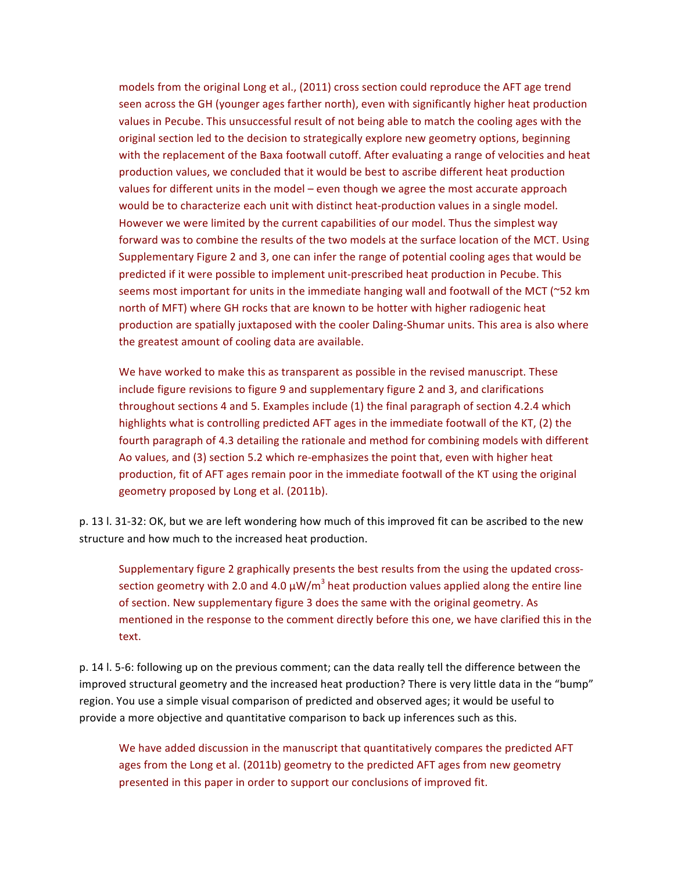models from the original Long et al., (2011) cross section could reproduce the AFT age trend seen across the GH (younger ages farther north), even with significantly higher heat production values in Pecube. This unsuccessful result of not being able to match the cooling ages with the original section led to the decision to strategically explore new geometry options, beginning with the replacement of the Baxa footwall cutoff. After evaluating a range of velocities and heat production values, we concluded that it would be best to ascribe different heat production values for different units in the model – even though we agree the most accurate approach would be to characterize each unit with distinct heat-production values in a single model. However we were limited by the current capabilities of our model. Thus the simplest way forward was to combine the results of the two models at the surface location of the MCT. Using Supplementary Figure 2 and 3, one can infer the range of potential cooling ages that would be predicted if it were possible to implement unit-prescribed heat production in Pecube. This seems most important for units in the immediate hanging wall and footwall of the MCT ( $\sim$ 52 km north of MFT) where GH rocks that are known to be hotter with higher radiogenic heat production are spatially juxtaposed with the cooler Daling-Shumar units. This area is also where the greatest amount of cooling data are available.

We have worked to make this as transparent as possible in the revised manuscript. These include figure revisions to figure 9 and supplementary figure 2 and 3, and clarifications throughout sections 4 and 5. Examples include  $(1)$  the final paragraph of section 4.2.4 which highlights what is controlling predicted AFT ages in the immediate footwall of the KT, (2) the fourth paragraph of 4.3 detailing the rationale and method for combining models with different Ao values, and (3) section 5.2 which re-emphasizes the point that, even with higher heat production, fit of AFT ages remain poor in the immediate footwall of the KT using the original geometry proposed by Long et al. (2011b).

p. 13 l. 31-32: OK, but we are left wondering how much of this improved fit can be ascribed to the new structure and how much to the increased heat production.

Supplementary figure 2 graphically presents the best results from the using the updated crosssection geometry with 2.0 and 4.0  $\mu$ W/m<sup>3</sup> heat production values applied along the entire line of section. New supplementary figure 3 does the same with the original geometry. As mentioned in the response to the comment directly before this one, we have clarified this in the text.

p. 14 l. 5-6: following up on the previous comment; can the data really tell the difference between the improved structural geometry and the increased heat production? There is very little data in the "bump" region. You use a simple visual comparison of predicted and observed ages; it would be useful to provide a more objective and quantitative comparison to back up inferences such as this.

We have added discussion in the manuscript that quantitatively compares the predicted AFT ages from the Long et al. (2011b) geometry to the predicted AFT ages from new geometry presented in this paper in order to support our conclusions of improved fit.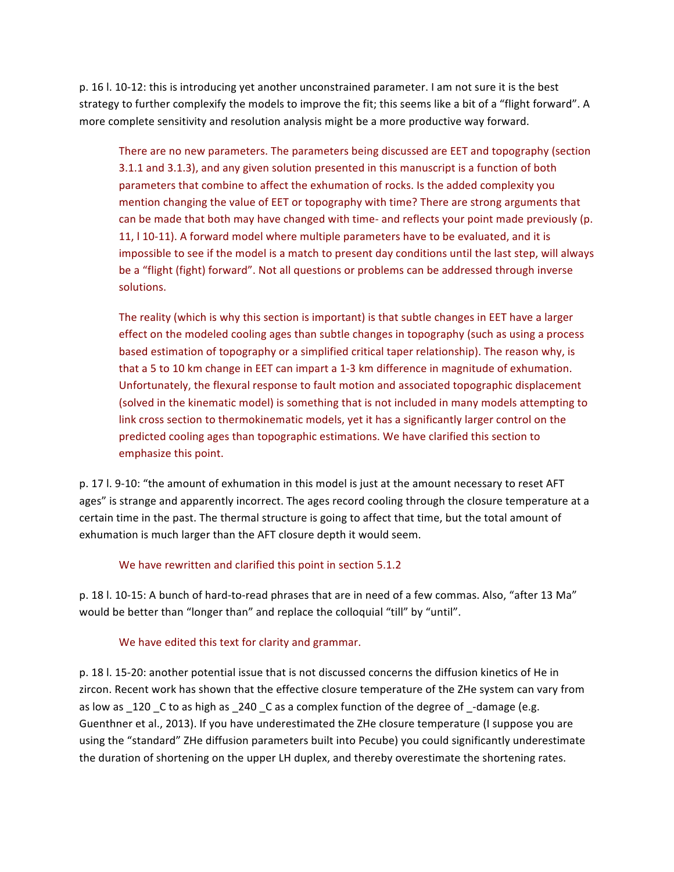p. 16 l. 10-12: this is introducing yet another unconstrained parameter. I am not sure it is the best strategy to further complexify the models to improve the fit; this seems like a bit of a "flight forward". A more complete sensitivity and resolution analysis might be a more productive way forward.

There are no new parameters. The parameters being discussed are EET and topography (section 3.1.1 and 3.1.3), and any given solution presented in this manuscript is a function of both parameters that combine to affect the exhumation of rocks. Is the added complexity you mention changing the value of EET or topography with time? There are strong arguments that can be made that both may have changed with time- and reflects your point made previously (p. 11, I 10-11). A forward model where multiple parameters have to be evaluated, and it is impossible to see if the model is a match to present day conditions until the last step, will always be a "flight (fight) forward". Not all questions or problems can be addressed through inverse solutions.

The reality (which is why this section is important) is that subtle changes in EET have a larger effect on the modeled cooling ages than subtle changes in topography (such as using a process based estimation of topography or a simplified critical taper relationship). The reason why, is that a 5 to 10 km change in EET can impart a 1-3 km difference in magnitude of exhumation. Unfortunately, the flexural response to fault motion and associated topographic displacement (solved in the kinematic model) is something that is not included in many models attempting to link cross section to thermokinematic models, yet it has a significantly larger control on the predicted cooling ages than topographic estimations. We have clarified this section to emphasize this point.

p. 17 l. 9-10: "the amount of exhumation in this model is just at the amount necessary to reset AFT ages" is strange and apparently incorrect. The ages record cooling through the closure temperature at a certain time in the past. The thermal structure is going to affect that time, but the total amount of exhumation is much larger than the AFT closure depth it would seem.

## We have rewritten and clarified this point in section 5.1.2

p. 18 l. 10-15: A bunch of hard-to-read phrases that are in need of a few commas. Also, "after 13 Ma" would be better than "longer than" and replace the colloquial "till" by "until".

## We have edited this text for clarity and grammar.

p. 18 l. 15-20: another potential issue that is not discussed concerns the diffusion kinetics of He in zircon. Recent work has shown that the effective closure temperature of the ZHe system can vary from as low as  $120$  C to as high as  $240$  C as a complex function of the degree of  $-$ damage (e.g. Guenthner et al., 2013). If you have underestimated the ZHe closure temperature (I suppose you are using the "standard" ZHe diffusion parameters built into Pecube) you could significantly underestimate the duration of shortening on the upper LH duplex, and thereby overestimate the shortening rates.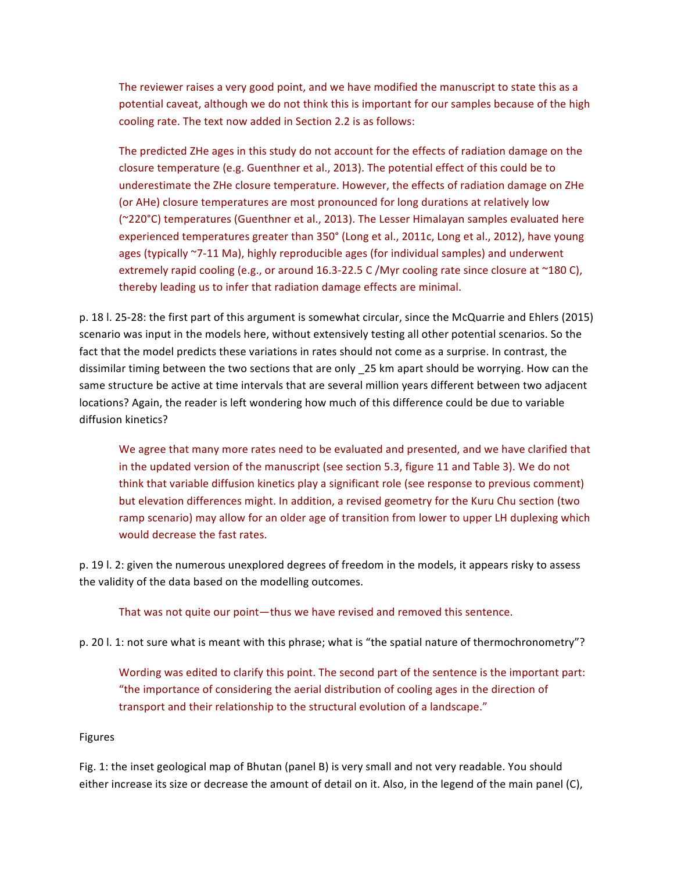The reviewer raises a very good point, and we have modified the manuscript to state this as a potential caveat, although we do not think this is important for our samples because of the high cooling rate. The text now added in Section 2.2 is as follows:

The predicted ZHe ages in this study do not account for the effects of radiation damage on the closure temperature (e.g. Guenthner et al., 2013). The potential effect of this could be to underestimate the ZHe closure temperature. However, the effects of radiation damage on ZHe (or AHe) closure temperatures are most pronounced for long durations at relatively low (~220°C) temperatures (Guenthner et al., 2013). The Lesser Himalayan samples evaluated here experienced temperatures greater than 350° (Long et al., 2011c, Long et al., 2012), have young ages (typically ~7-11 Ma), highly reproducible ages (for individual samples) and underwent extremely rapid cooling (e.g., or around 16.3-22.5 C/Myr cooling rate since closure at  $\sim$ 180 C), thereby leading us to infer that radiation damage effects are minimal.

p. 18 l. 25-28: the first part of this argument is somewhat circular, since the McQuarrie and Ehlers (2015) scenario was input in the models here, without extensively testing all other potential scenarios. So the fact that the model predicts these variations in rates should not come as a surprise. In contrast, the dissimilar timing between the two sections that are only \_25 km apart should be worrying. How can the same structure be active at time intervals that are several million years different between two adjacent locations? Again, the reader is left wondering how much of this difference could be due to variable diffusion kinetics?

We agree that many more rates need to be evaluated and presented, and we have clarified that in the updated version of the manuscript (see section 5.3, figure 11 and Table 3). We do not think that variable diffusion kinetics play a significant role (see response to previous comment) but elevation differences might. In addition, a revised geometry for the Kuru Chu section (two ramp scenario) may allow for an older age of transition from lower to upper LH duplexing which would decrease the fast rates.

p. 19 l. 2: given the numerous unexplored degrees of freedom in the models, it appears risky to assess the validity of the data based on the modelling outcomes.

That was not quite our point—thus we have revised and removed this sentence.

p. 20 l. 1: not sure what is meant with this phrase; what is "the spatial nature of thermochronometry"?

Wording was edited to clarify this point. The second part of the sentence is the important part: "the importance of considering the aerial distribution of cooling ages in the direction of transport and their relationship to the structural evolution of a landscape."

## Figures

Fig. 1: the inset geological map of Bhutan (panel B) is very small and not very readable. You should either increase its size or decrease the amount of detail on it. Also, in the legend of the main panel (C),